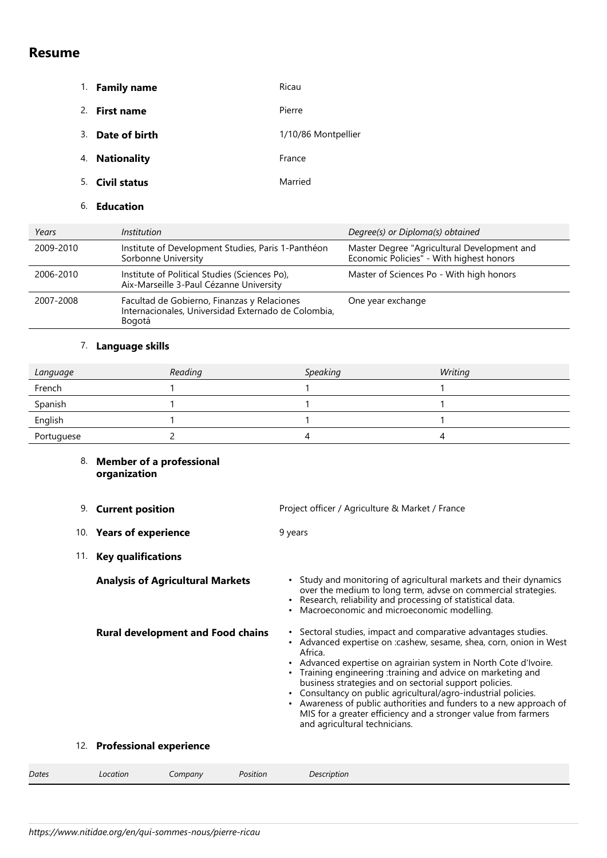# **Resume**

- 1. **Family name** Ricau 2. **First name** Pierre 3. **Date of birth** 1/10/86 Montpellier 4. **Nationality France** 5. **Civil status** Married
	- 6. **Education**

| Years     | Institution                                                                                                  | Degree(s) or Diploma(s) obtained                                                        |
|-----------|--------------------------------------------------------------------------------------------------------------|-----------------------------------------------------------------------------------------|
| 2009-2010 | Institute of Development Studies, Paris 1-Panthéon<br>Sorbonne University                                    | Master Degree "Agricultural Development and<br>Economic Policies" - With highest honors |
| 2006-2010 | Institute of Political Studies (Sciences Po),<br>Aix-Marseille 3-Paul Cézanne University                     | Master of Sciences Po - With high honors                                                |
| 2007-2008 | Facultad de Gobierno, Finanzas y Relaciones<br>Internacionales, Universidad Externado de Colombia,<br>Bogotá | One year exchange                                                                       |

## 7. **Language skills**

| Language   | Reading | <b>Speaking</b> | Writing |
|------------|---------|-----------------|---------|
| French     |         |                 |         |
| Spanish    |         |                 |         |
| English    |         |                 |         |
| Portuguese |         | 4               |         |

## 8. **Member of a professional organization**

|       | <b>Current position</b><br>9.    |                                          | Project officer / Agriculture & Market / France                                                                                                                                                                                                                                                                                                                                                                                                                                                                                                                                    |
|-------|----------------------------------|------------------------------------------|------------------------------------------------------------------------------------------------------------------------------------------------------------------------------------------------------------------------------------------------------------------------------------------------------------------------------------------------------------------------------------------------------------------------------------------------------------------------------------------------------------------------------------------------------------------------------------|
|       | 10. Years of experience          |                                          | 9 years                                                                                                                                                                                                                                                                                                                                                                                                                                                                                                                                                                            |
|       | <b>Key qualifications</b><br>11. |                                          |                                                                                                                                                                                                                                                                                                                                                                                                                                                                                                                                                                                    |
|       |                                  | <b>Analysis of Agricultural Markets</b>  | • Study and monitoring of agricultural markets and their dynamics<br>over the medium to long term, advse on commercial strategies.<br>• Research, reliability and processing of statistical data.<br>Macroeconomic and microeconomic modelling.                                                                                                                                                                                                                                                                                                                                    |
|       |                                  | <b>Rural development and Food chains</b> | • Sectoral studies, impact and comparative advantages studies.<br>Advanced expertise on :cashew, sesame, shea, corn, onion in West<br>Africa.<br>• Advanced expertise on agrairian system in North Cote d'Ivoire.<br>Training engineering :training and advice on marketing and<br>business strategies and on sectorial support policies.<br>• Consultancy on public agricultural/agro-industrial policies.<br>Awareness of public authorities and funders to a new approach of<br>MIS for a greater efficiency and a stronger value from farmers<br>and agricultural technicians. |
|       | 12. Professional experience      |                                          |                                                                                                                                                                                                                                                                                                                                                                                                                                                                                                                                                                                    |
| Dates | Location                         | Position<br>Company                      | Description                                                                                                                                                                                                                                                                                                                                                                                                                                                                                                                                                                        |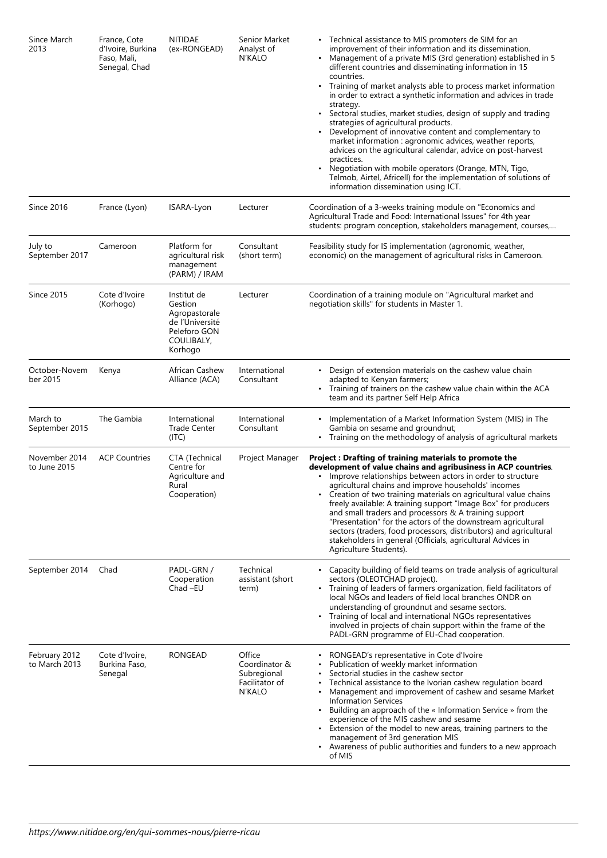| Since March<br>2013            | France, Cote<br>d'Ivoire, Burkina<br>Faso, Mali,<br>Senegal, Chad | <b>NITIDAE</b><br>(ex-RONGEAD)                                                                      | Senior Market<br>Analyst of<br>N'KALO                                     | • Technical assistance to MIS promoters de SIM for an<br>improvement of their information and its dissemination.<br>• Management of a private MIS (3rd generation) established in 5<br>different countries and disseminating information in 15<br>countries.<br>Training of market analysts able to process market information<br>in order to extract a synthetic information and advices in trade<br>strategy.<br>Sectoral studies, market studies, design of supply and trading<br>strategies of agricultural products.<br>Development of innovative content and complementary to<br>market information : agronomic advices, weather reports,<br>advices on the agricultural calendar, advice on post-harvest<br>practices.<br>Negotiation with mobile operators (Orange, MTN, Tigo,<br>Telmob, Airtel, Africell) for the implementation of solutions of<br>information dissemination using ICT. |
|--------------------------------|-------------------------------------------------------------------|-----------------------------------------------------------------------------------------------------|---------------------------------------------------------------------------|----------------------------------------------------------------------------------------------------------------------------------------------------------------------------------------------------------------------------------------------------------------------------------------------------------------------------------------------------------------------------------------------------------------------------------------------------------------------------------------------------------------------------------------------------------------------------------------------------------------------------------------------------------------------------------------------------------------------------------------------------------------------------------------------------------------------------------------------------------------------------------------------------|
| Since 2016                     | France (Lyon)                                                     | ISARA-Lyon                                                                                          | Lecturer                                                                  | Coordination of a 3-weeks training module on "Economics and<br>Agricultural Trade and Food: International Issues" for 4th year<br>students: program conception, stakeholders management, courses,                                                                                                                                                                                                                                                                                                                                                                                                                                                                                                                                                                                                                                                                                                  |
| July to<br>September 2017      | Cameroon                                                          | Platform for<br>agricultural risk<br>management<br>(PARM) / IRAM                                    | Consultant<br>(short term)                                                | Feasibility study for IS implementation (agronomic, weather,<br>economic) on the management of agricultural risks in Cameroon.                                                                                                                                                                                                                                                                                                                                                                                                                                                                                                                                                                                                                                                                                                                                                                     |
| <b>Since 2015</b>              | Cote d'Ivoire<br>(Korhogo)                                        | Institut de<br>Gestion<br>Agropastorale<br>de l'Université<br>Peleforo GON<br>COULIBALY,<br>Korhogo | Lecturer                                                                  | Coordination of a training module on "Agricultural market and<br>negotiation skills" for students in Master 1.                                                                                                                                                                                                                                                                                                                                                                                                                                                                                                                                                                                                                                                                                                                                                                                     |
| October-Novem<br>ber 2015      | Kenya                                                             | African Cashew<br>Alliance (ACA)                                                                    | International<br>Consultant                                               | • Design of extension materials on the cashew value chain<br>adapted to Kenyan farmers;<br>• Training of trainers on the cashew value chain within the ACA<br>team and its partner Self Help Africa                                                                                                                                                                                                                                                                                                                                                                                                                                                                                                                                                                                                                                                                                                |
| March to<br>September 2015     | The Gambia                                                        | International<br><b>Trade Center</b><br>(ITC)                                                       | International<br>Consultant                                               | Implementation of a Market Information System (MIS) in The<br>٠<br>Gambia on sesame and groundnut;<br>• Training on the methodology of analysis of agricultural markets                                                                                                                                                                                                                                                                                                                                                                                                                                                                                                                                                                                                                                                                                                                            |
| November 2014<br>to June 2015  | <b>ACP Countries</b>                                              | CTA (Technical<br>Centre for<br>Agriculture and<br>Rural<br>Cooperation)                            | Project Manager                                                           | Project : Drafting of training materials to promote the<br>development of value chains and agribusiness in ACP countries.<br>Improve relationships between actors in order to structure<br>agricultural chains and improve households' incomes<br>Creation of two training materials on agricultural value chains<br>freely available: A training support "Image Box" for producers<br>and small traders and processors & A training support<br>"Presentation" for the actors of the downstream agricultural<br>sectors (traders, food processors, distributors) and agricultural<br>stakeholders in general (Officials, agricultural Advices in<br>Agriculture Students).                                                                                                                                                                                                                         |
| September 2014                 | Chad                                                              | PADL-GRN /<br>Cooperation<br>Chad-EU                                                                | Technical<br>assistant (short<br>term)                                    | Capacity building of field teams on trade analysis of agricultural<br>sectors (OLEOTCHAD project).<br>Training of leaders of farmers organization, field facilitators of<br>local NGOs and leaders of field local branches ONDR on<br>understanding of groundnut and sesame sectors.<br>Training of local and international NGOs representatives<br>$\bullet$<br>involved in projects of chain support within the frame of the<br>PADL-GRN programme of EU-Chad cooperation.                                                                                                                                                                                                                                                                                                                                                                                                                       |
| February 2012<br>to March 2013 | Cote d'Ivoire,<br>Burkina Faso,<br>Senegal                        | <b>RONGEAD</b>                                                                                      | Office<br>Coordinator &<br>Subregional<br>Facilitator of<br><b>N'KALO</b> | RONGEAD's representative in Cote d'Ivoire<br>Publication of weekly market information<br>Sectorial studies in the cashew sector<br>Technical assistance to the Ivorian cashew regulation board<br>Management and improvement of cashew and sesame Market<br><b>Information Services</b><br>Building an approach of the « Information Service » from the<br>$\bullet$<br>experience of the MIS cashew and sesame<br>Extension of the model to new areas, training partners to the<br>management of 3rd generation MIS<br>Awareness of public authorities and funders to a new approach<br>of MIS                                                                                                                                                                                                                                                                                                    |